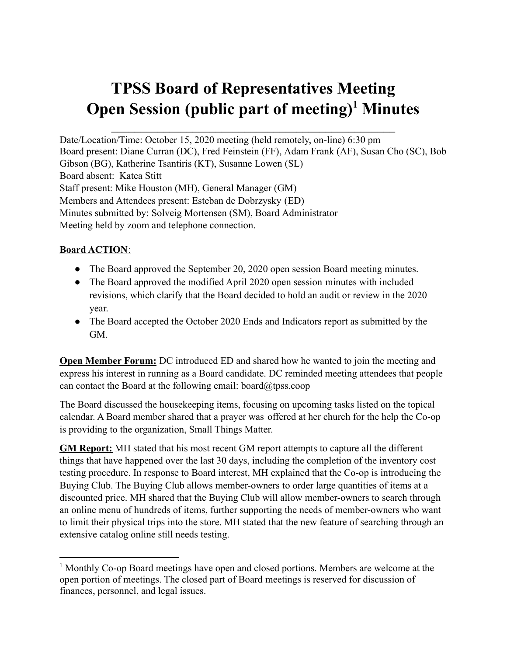# **TPSS Board of Representatives Meeting Open Session (public part of meeting) <sup>1</sup> Minutes**

Date/Location/Time: October 15, 2020 meeting (held remotely, on-line) 6:30 pm Board present: Diane Curran (DC), Fred Feinstein (FF), Adam Frank (AF), Susan Cho (SC), Bob Gibson (BG), Katherine Tsantiris (KT), Susanne Lowen (SL) Board absent: Katea Stitt Staff present: Mike Houston (MH), General Manager (GM) Members and Attendees present: Esteban de Dobrzysky (ED) Minutes submitted by: Solveig Mortensen (SM), Board Administrator Meeting held by zoom and telephone connection.

## **Board ACTION**:

- The Board approved the September 20, 2020 open session Board meeting minutes.
- The Board approved the modified April 2020 open session minutes with included revisions, which clarify that the Board decided to hold an audit or review in the 2020 year.
- The Board accepted the October 2020 Ends and Indicators report as submitted by the GM.

**Open Member Forum:** DC introduced ED and shared how he wanted to join the meeting and express his interest in running as a Board candidate. DC reminded meeting attendees that people can contact the Board at the following email: board $\omega$ tpss.coop

The Board discussed the housekeeping items, focusing on upcoming tasks listed on the topical calendar. A Board member shared that a prayer was offered at her church for the help the Co-op is providing to the organization, Small Things Matter.

**GM Report:** MH stated that his most recent GM report attempts to capture all the different things that have happened over the last 30 days, including the completion of the inventory cost testing procedure. In response to Board interest, MH explained that the Co-op is introducing the Buying Club. The Buying Club allows member-owners to order large quantities of items at a discounted price. MH shared that the Buying Club will allow member-owners to search through an online menu of hundreds of items, further supporting the needs of member-owners who want to limit their physical trips into the store. MH stated that the new feature of searching through an extensive catalog online still needs testing.

<sup>1</sup> Monthly Co-op Board meetings have open and closed portions. Members are welcome at the open portion of meetings. The closed part of Board meetings is reserved for discussion of finances, personnel, and legal issues.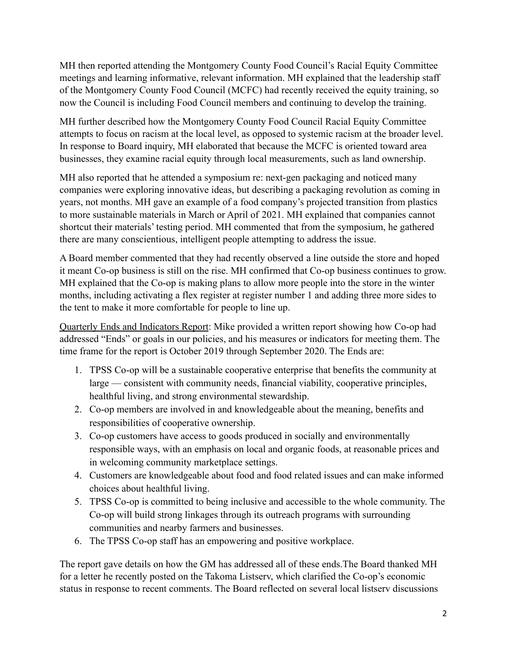MH then reported attending the Montgomery County Food Council's Racial Equity Committee meetings and learning informative, relevant information. MH explained that the leadership staff of the Montgomery County Food Council (MCFC) had recently received the equity training, so now the Council is including Food Council members and continuing to develop the training.

MH further described how the Montgomery County Food Council Racial Equity Committee attempts to focus on racism at the local level, as opposed to systemic racism at the broader level. In response to Board inquiry, MH elaborated that because the MCFC is oriented toward area businesses, they examine racial equity through local measurements, such as land ownership.

MH also reported that he attended a symposium re: next-gen packaging and noticed many companies were exploring innovative ideas, but describing a packaging revolution as coming in years, not months. MH gave an example of a food company's projected transition from plastics to more sustainable materials in March or April of 2021. MH explained that companies cannot shortcut their materials' testing period. MH commented that from the symposium, he gathered there are many conscientious, intelligent people attempting to address the issue.

A Board member commented that they had recently observed a line outside the store and hoped it meant Co-op business is still on the rise. MH confirmed that Co-op business continues to grow. MH explained that the Co-op is making plans to allow more people into the store in the winter months, including activating a flex register at register number 1 and adding three more sides to the tent to make it more comfortable for people to line up.

Quarterly Ends and Indicators Report: Mike provided a written report showing how Co-op had addressed "Ends" or goals in our policies, and his measures or indicators for meeting them. The time frame for the report is October 2019 through September 2020. The Ends are:

- 1. TPSS Co-op will be a sustainable cooperative enterprise that benefits the community at large — consistent with community needs, financial viability, cooperative principles, healthful living, and strong environmental stewardship.
- 2. Co-op members are involved in and knowledgeable about the meaning, benefits and responsibilities of cooperative ownership.
- 3. Co-op customers have access to goods produced in socially and environmentally responsible ways, with an emphasis on local and organic foods, at reasonable prices and in welcoming community marketplace settings.
- 4. Customers are knowledgeable about food and food related issues and can make informed choices about healthful living.
- 5. TPSS Co-op is committed to being inclusive and accessible to the whole community. The Co-op will build strong linkages through its outreach programs with surrounding communities and nearby farmers and businesses.
- 6. The TPSS Co-op staff has an empowering and positive workplace.

The report gave details on how the GM has addressed all of these ends.The Board thanked MH for a letter he recently posted on the Takoma Listserv, which clarified the Co-op's economic status in response to recent comments. The Board reflected on several local listserv discussions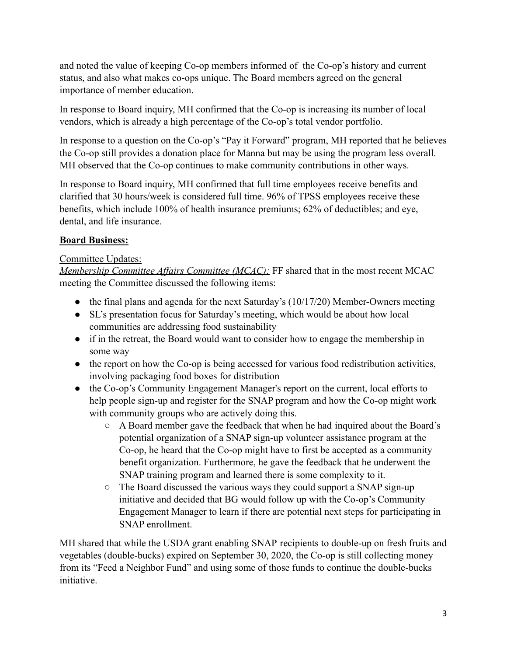and noted the value of keeping Co-op members informed of the Co-op's history and current status, and also what makes co-ops unique. The Board members agreed on the general importance of member education.

In response to Board inquiry, MH confirmed that the Co-op is increasing its number of local vendors, which is already a high percentage of the Co-op's total vendor portfolio.

In response to a question on the Co-op's "Pay it Forward" program, MH reported that he believes the Co-op still provides a donation place for Manna but may be using the program less overall. MH observed that the Co-op continues to make community contributions in other ways.

In response to Board inquiry, MH confirmed that full time employees receive benefits and clarified that 30 hours/week is considered full time. 96% of TPSS employees receive these benefits, which include 100% of health insurance premiums; 62% of deductibles; and eye, dental, and life insurance.

# **Board Business:**

## Committee Updates:

*Membership Committee Affairs Committee (MCAC):* FF shared that in the most recent MCAC meeting the Committee discussed the following items:

- the final plans and agenda for the next Saturday's (10/17/20) Member-Owners meeting
- SL's presentation focus for Saturday's meeting, which would be about how local communities are addressing food sustainability
- if in the retreat, the Board would want to consider how to engage the membership in some way
- the report on how the Co-op is being accessed for various food redistribution activities, involving packaging food boxes for distribution
- the Co-op's Community Engagement Manager's report on the current, local efforts to help people sign-up and register for the SNAP program and how the Co-op might work with community groups who are actively doing this.
	- A Board member gave the feedback that when he had inquired about the Board's potential organization of a SNAP sign-up volunteer assistance program at the Co-op, he heard that the Co-op might have to first be accepted as a community benefit organization. Furthermore, he gave the feedback that he underwent the SNAP training program and learned there is some complexity to it.
	- The Board discussed the various ways they could support a SNAP sign-up initiative and decided that BG would follow up with the Co-op's Community Engagement Manager to learn if there are potential next steps for participating in SNAP enrollment.

MH shared that while the USDA grant enabling SNAP recipients to double-up on fresh fruits and vegetables (double-bucks) expired on September 30, 2020, the Co-op is still collecting money from its "Feed a Neighbor Fund" and using some of those funds to continue the double-bucks initiative.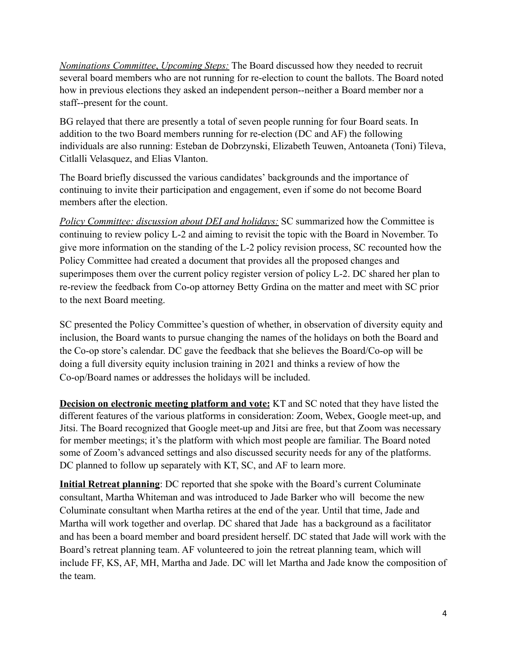*Nominations Committee*, *Upcoming Steps:* The Board discussed how they needed to recruit several board members who are not running for re-election to count the ballots. The Board noted how in previous elections they asked an independent person--neither a Board member nor a staff--present for the count.

BG relayed that there are presently a total of seven people running for four Board seats. In addition to the two Board members running for re-election (DC and AF) the following individuals are also running: Esteban de Dobrzynski, Elizabeth Teuwen, Antoaneta (Toni) Tileva, Citlalli Velasquez, and Elias Vlanton.

The Board briefly discussed the various candidates' backgrounds and the importance of continuing to invite their participation and engagement, even if some do not become Board members after the election.

*Policy Committee: discussion about DEI and holidays:* SC summarized how the Committee is continuing to review policy L-2 and aiming to revisit the topic with the Board in November. To give more information on the standing of the L-2 policy revision process, SC recounted how the Policy Committee had created a document that provides all the proposed changes and superimposes them over the current policy register version of policy L-2. DC shared her plan to re-review the feedback from Co-op attorney Betty Grdina on the matter and meet with SC prior to the next Board meeting.

SC presented the Policy Committee's question of whether, in observation of diversity equity and inclusion, the Board wants to pursue changing the names of the holidays on both the Board and the Co-op store's calendar. DC gave the feedback that she believes the Board/Co-op will be doing a full diversity equity inclusion training in 2021 and thinks a review of how the Co-op/Board names or addresses the holidays will be included.

**Decision on electronic meeting platform and vote:** KT and SC noted that they have listed the different features of the various platforms in consideration: Zoom, Webex, Google meet-up, and Jitsi. The Board recognized that Google meet-up and Jitsi are free, but that Zoom was necessary for member meetings; it's the platform with which most people are familiar. The Board noted some of Zoom's advanced settings and also discussed security needs for any of the platforms. DC planned to follow up separately with KT, SC, and AF to learn more.

**Initial Retreat planning**: DC reported that she spoke with the Board's current Columinate consultant, Martha Whiteman and was introduced to Jade Barker who will become the new Columinate consultant when Martha retires at the end of the year. Until that time, Jade and Martha will work together and overlap. DC shared that Jade has a background as a facilitator and has been a board member and board president herself. DC stated that Jade will work with the Board's retreat planning team. AF volunteered to join the retreat planning team, which will include FF, KS, AF, MH, Martha and Jade. DC will let Martha and Jade know the composition of the team.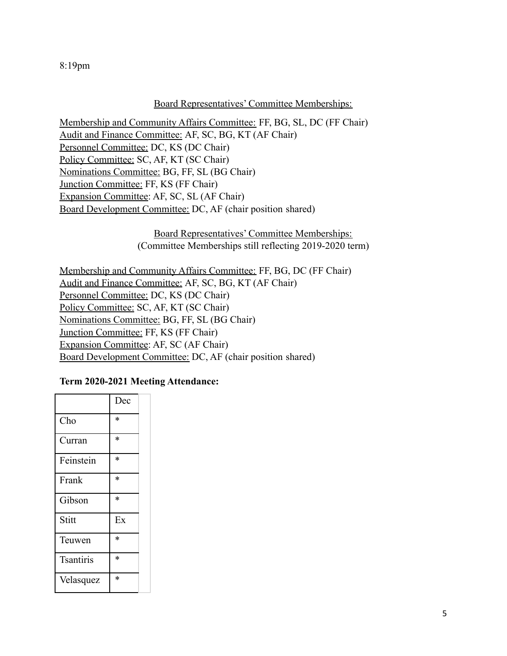8:19pm

#### Board Representatives' Committee Memberships:

Membership and Community Affairs Committee: FF, BG, SL, DC (FF Chair) Audit and Finance Committee: AF, SC, BG, KT (AF Chair) Personnel Committee: DC, KS (DC Chair) Policy Committee: SC, AF, KT (SC Chair) Nominations Committee: BG, FF, SL (BG Chair) Junction Committee: FF, KS (FF Chair) Expansion Committee: AF, SC, SL (AF Chair) Board Development Committee: DC, AF (chair position shared)

> Board Representatives' Committee Memberships: (Committee Memberships still reflecting 2019-2020 term)

Membership and Community Affairs Committee: FF, BG, DC (FF Chair) Audit and Finance Committee: AF, SC, BG, KT (AF Chair) Personnel Committee: DC, KS (DC Chair) Policy Committee: SC, AF, KT (SC Chair) Nominations Committee: BG, FF, SL (BG Chair) Junction Committee: FF, KS (FF Chair) Expansion Committee: AF, SC (AF Chair) Board Development Committee: DC, AF (chair position shared)

## **Term 2020-2021 Meeting Attendance:**

|                  | Dec    |
|------------------|--------|
| Cho              | $\ast$ |
| Curran           | $\ast$ |
| Feinstein        | $\ast$ |
| Frank            | $\ast$ |
| Gibson           | $\ast$ |
| Stitt            | Ex     |
| Teuwen           | $\ast$ |
| <b>Tsantiris</b> | $\ast$ |
| Velasquez        | $\ast$ |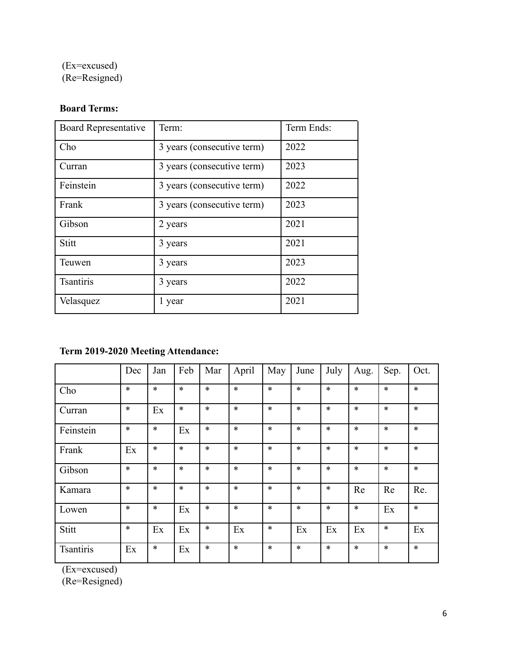(Ex=excused) (Re=Resigned)

# **Board Terms:**

| <b>Board Representative</b> | Term:                      | Term Ends: |
|-----------------------------|----------------------------|------------|
| Cho                         | 3 years (consecutive term) | 2022       |
| Curran                      | 3 years (consecutive term) | 2023       |
| Feinstein                   | 3 years (consecutive term) | 2022       |
| Frank                       | 3 years (consecutive term) | 2023       |
| Gibson                      | 2 years                    | 2021       |
| Stitt                       | 3 years                    | 2021       |
| Teuwen                      | 3 years                    | 2023       |
| <b>Tsantiris</b>            | 3 years                    | 2022       |
| Velasquez                   | 1 year                     | 2021       |

# **Term 2019-2020 Meeting Attendance:**

|                  | Dec    | Jan    | Feb    | Mar    | April  | May    | June   | July   | Aug.   | Sep.   | Oct.   |
|------------------|--------|--------|--------|--------|--------|--------|--------|--------|--------|--------|--------|
| Cho              | $\ast$ | $\ast$ | $\ast$ | $\ast$ | $\ast$ | $\ast$ | $\ast$ | $\ast$ | $\ast$ | $\ast$ | $\ast$ |
| Curran           | $\ast$ | Ex     | $\ast$ | $\ast$ | $\ast$ | $\ast$ | $\ast$ | $\ast$ | $\ast$ | $\ast$ | $\ast$ |
| Feinstein        | $\ast$ | $\ast$ | Ex     | $\ast$ | $\ast$ | $\ast$ | $\ast$ | $\ast$ | $\ast$ | $\ast$ | $\ast$ |
| Frank            | Ex     | $\ast$ | $\ast$ | $\ast$ | $\ast$ | $\ast$ | $\ast$ | $\ast$ | $\ast$ | $\ast$ | $\ast$ |
| Gibson           | $\ast$ | $\ast$ | $\ast$ | $\ast$ | $\ast$ | $\ast$ | $\ast$ | $\ast$ | $\ast$ | $\ast$ | $\ast$ |
| Kamara           | $\ast$ | $\ast$ | $\ast$ | $\ast$ | $\ast$ | $\ast$ | $\ast$ | $\ast$ | Re     | Re     | Re.    |
| Lowen            | $\ast$ | $\ast$ | Ex     | $\ast$ | $\ast$ | $\ast$ | $\ast$ | $\ast$ | $\ast$ | Ex     | $\ast$ |
| Stitt            | $\ast$ | Ex     | Ex     | $\ast$ | Ex     | $\ast$ | Ex     | Ex     | Ex     | $\ast$ | Ex     |
| <b>Tsantiris</b> | Ex     | $\ast$ | Ex     | $\ast$ | $\ast$ | $\ast$ | $\ast$ | $\ast$ | $\ast$ | $\ast$ | $\ast$ |

(Ex=excused)

(Re=Resigned)